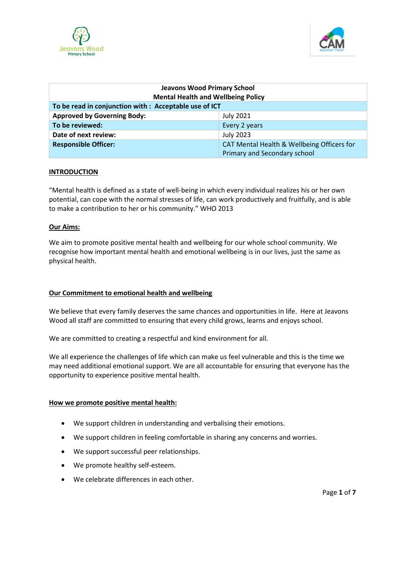



| <b>Jeavons Wood Primary School</b><br><b>Mental Health and Wellbeing Policy</b> |                                                                            |
|---------------------------------------------------------------------------------|----------------------------------------------------------------------------|
| To be read in conjunction with : Acceptable use of ICT                          |                                                                            |
| <b>Approved by Governing Body:</b>                                              | <b>July 2021</b>                                                           |
| To be reviewed:                                                                 | Every 2 years                                                              |
| Date of next review:                                                            | <b>July 2023</b>                                                           |
| <b>Responsible Officer:</b>                                                     | CAT Mental Health & Wellbeing Officers for<br>Primary and Secondary school |

#### **INTRODUCTION**

"Mental health is defined as a state of well-being in which every individual realizes his or her own potential, can cope with the normal stresses of life, can work productively and fruitfully, and is able to make a contribution to her or his community." WHO 2013

#### **Our Aims:**

We aim to promote positive mental health and wellbeing for our whole school community. We recognise how important mental health and emotional wellbeing is in our lives, just the same as physical health.

#### **Our Commitment to emotional health and wellbeing**

We believe that every family deserves the same chances and opportunities in life. Here at Jeavons Wood all staff are committed to ensuring that every child grows, learns and enjoys school.

We are committed to creating a respectful and kind environment for all.

We all experience the challenges of life which can make us feel vulnerable and this is the time we may need additional emotional support. We are all accountable for ensuring that everyone has the opportunity to experience positive mental health.

#### **How we promote positive mental health:**

- We support children in understanding and verbalising their emotions.
- We support children in feeling comfortable in sharing any concerns and worries.
- We support successful peer relationships.
- We promote healthy self-esteem.
- We celebrate differences in each other.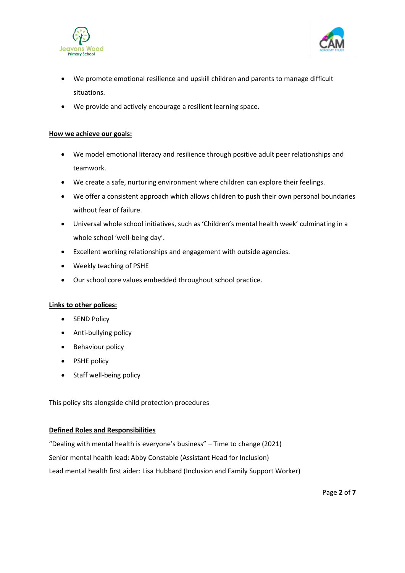



- We promote emotional resilience and upskill children and parents to manage difficult situations.
- We provide and actively encourage a resilient learning space.

### **How we achieve our goals:**

- We model emotional literacy and resilience through positive adult peer relationships and teamwork.
- We create a safe, nurturing environment where children can explore their feelings.
- We offer a consistent approach which allows children to push their own personal boundaries without fear of failure.
- Universal whole school initiatives, such as 'Children's mental health week' culminating in a whole school 'well-being day'.
- Excellent working relationships and engagement with outside agencies.
- Weekly teaching of PSHE
- Our school core values embedded throughout school practice.

# **Links to other polices:**

- SEND Policy
- Anti-bullying policy
- Behaviour policy
- PSHE policy
- Staff well-being policy

This policy sits alongside child protection procedures

#### **Defined Roles and Responsibilities**

"Dealing with mental health is everyone's business" – Time to change (2021) Senior mental health lead: Abby Constable (Assistant Head for Inclusion) Lead mental health first aider: Lisa Hubbard (Inclusion and Family Support Worker)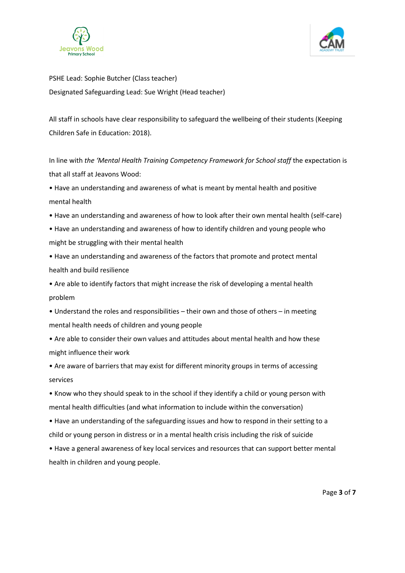



PSHE Lead: Sophie Butcher (Class teacher) Designated Safeguarding Lead: Sue Wright (Head teacher)

All staff in schools have clear responsibility to safeguard the wellbeing of their students (Keeping Children Safe in Education: 2018).

In line with *the 'Mental Health Training Competency Framework for School staff* the expectation is that all staff at Jeavons Wood:

• Have an understanding and awareness of what is meant by mental health and positive mental health

- Have an understanding and awareness of how to look after their own mental health (self-care)
- Have an understanding and awareness of how to identify children and young people who might be struggling with their mental health

• Have an understanding and awareness of the factors that promote and protect mental health and build resilience

• Are able to identify factors that might increase the risk of developing a mental health problem

• Understand the roles and responsibilities – their own and those of others – in meeting mental health needs of children and young people

• Are able to consider their own values and attitudes about mental health and how these might influence their work

• Are aware of barriers that may exist for different minority groups in terms of accessing services

• Know who they should speak to in the school if they identify a child or young person with mental health difficulties (and what information to include within the conversation)

• Have an understanding of the safeguarding issues and how to respond in their setting to a child or young person in distress or in a mental health crisis including the risk of suicide

• Have a general awareness of key local services and resources that can support better mental health in children and young people.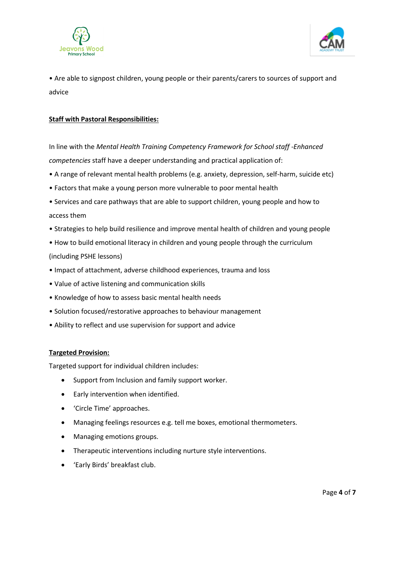



• Are able to signpost children, young people or their parents/carers to sources of support and advice

### **Staff with Pastoral Responsibilities:**

In line with the *Mental Health Training Competency Framework for School staff -Enhanced competencies* staff have a deeper understanding and practical application of:

- A range of relevant mental health problems (e.g. anxiety, depression, self-harm, suicide etc)
- Factors that make a young person more vulnerable to poor mental health
- Services and care pathways that are able to support children, young people and how to access them
- Strategies to help build resilience and improve mental health of children and young people
- How to build emotional literacy in children and young people through the curriculum (including PSHE lessons)
- Impact of attachment, adverse childhood experiences, trauma and loss
- Value of active listening and communication skills
- Knowledge of how to assess basic mental health needs
- Solution focused/restorative approaches to behaviour management
- Ability to reflect and use supervision for support and advice

#### **Targeted Provision:**

Targeted support for individual children includes:

- Support from Inclusion and family support worker.
- Early intervention when identified.
- 'Circle Time' approaches.
- Managing feelings resources e.g. tell me boxes, emotional thermometers.
- Managing emotions groups.
- Therapeutic interventions including nurture style interventions.
- 'Early Birds' breakfast club.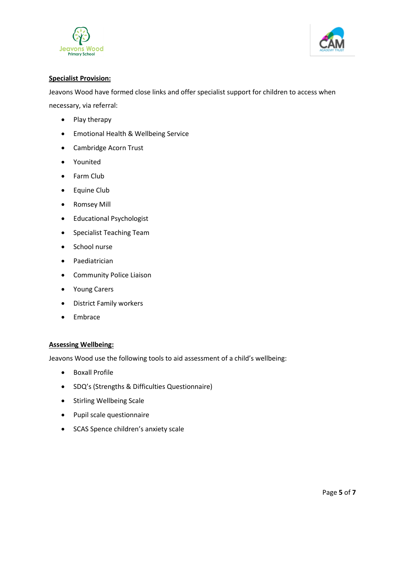



## **Specialist Provision:**

Jeavons Wood have formed close links and offer specialist support for children to access when necessary, via referral:

- Play therapy
- Emotional Health & Wellbeing Service
- Cambridge Acorn Trust
- Younited
- Farm Club
- Equine Club
- Romsey Mill
- Educational Psychologist
- Specialist Teaching Team
- School nurse
- Paediatrician
- Community Police Liaison
- Young Carers
- District Family workers
- Embrace

# **Assessing Wellbeing:**

Jeavons Wood use the following tools to aid assessment of a child's wellbeing:

- Boxall Profile
- SDQ's (Strengths & Difficulties Questionnaire)
- Stirling Wellbeing Scale
- Pupil scale questionnaire
- SCAS Spence children's anxiety scale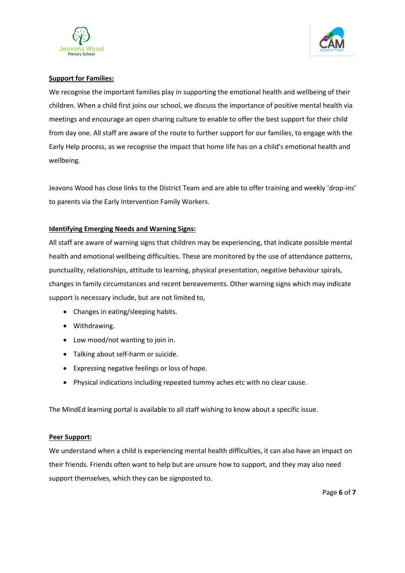



### **Support for Families:**

We recognise the important families play in supporting the emotional health and wellbeing of their children. When a child first joins our school, we discuss the importance of positive mental health via meetings and encourage an open sharing culture to enable to offer the best support for their child from day one. All staff are aware of the route to further support for our families, to engage with the Early Help process, as we recognise the impact that home life has on a child's emotional health and wellbeing.

Jeavons Wood has close links to the District Team and are able to offer training and weekly 'drop-ins' to parents via the Early Intervention Family Workers.

### **Identifying Emerging Needs and Warning Signs:**

All staff are aware of warning signs that children may be experiencing, that indicate possible mental health and emotional wellbeing difficulties. These are monitored by the use of attendance patterns, punctuality, relationships, attitude to learning, physical presentation, negative behaviour spirals, changes in family circumstances and recent bereavements. Other warning signs which may indicate support is necessary include, but are not limited to,

- Changes in eating/sleeping habits.
- Withdrawing.
- Low mood/not wanting to join in.
- Talking about self-harm or suicide.
- Expressing negative feelings or loss of hope.
- Physical indications including repeated tummy aches etc with no clear cause.

The MindEd learning portal is available to all staff wishing to know about a specific issue.

#### **Peer Support:**

We understand when a child is experiencing mental health difficulties, it can also have an impact on their friends. Friends often want to help but are unsure how to support, and they may also need support themselves, which they can be signposted to.